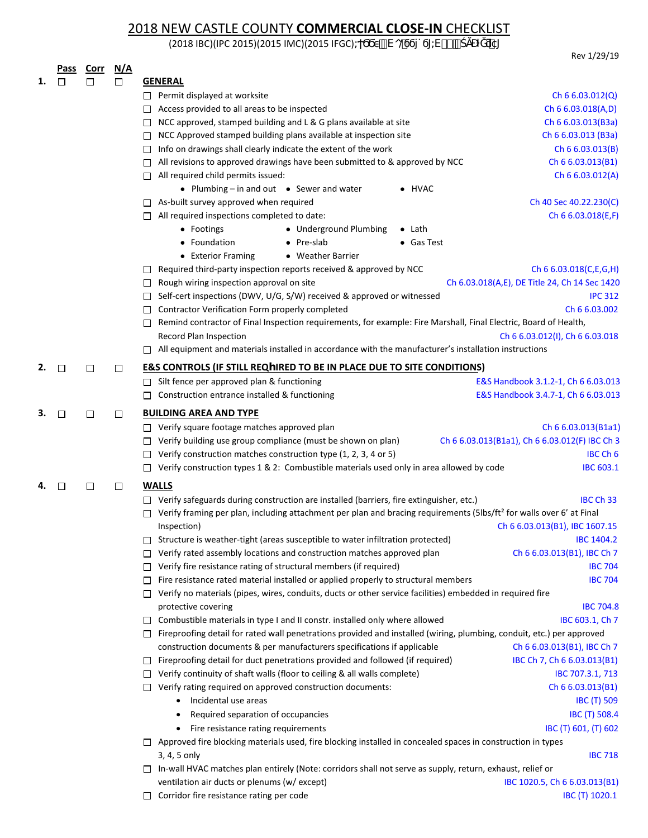## 2018 NEW CASTLE COUNTY **COMMERCIAL CLOSE-IN** CHECKLIST

(2018 IBC)(IPC 2015)(2015 IMC)(2015 IFGC) <sup>(1</sup> Vo@

 Rev 1/29/19 **Pass Corr N/A 1. GENERAL** □ Permit displayed at worksite [Ch 6 6.03.012\(Q\)](https://www.nccde.org/DocumentCenter/View/29131/Chapter-Six-Building-Code-01012019) □ Access provided to all areas to be inspected [Ch 6 6.03.018\(A](https://www.nccde.org/DocumentCenter/View/29131/Chapter-Six-Building-Code-01012019),D) □ NCC approved, stamped building and L & G plans available at site [Ch 6 6.03.013](https://www.nccde.org/DocumentCenter/View/29131/Chapter-Six-Building-Code-01012019)(B3a) □ NCC Approved stamped building plans available at inspection site [Ch 6 6.03.013 \(B](https://www.nccde.org/DocumentCenter/View/29131/Chapter-Six-Building-Code-01012019)3a)  $\Box$  Info on drawings shall clearly indicate the extent of the work [Ch 6 6.03.013\(B\)](https://www.nccde.org/DocumentCenter/View/29131/Chapter-Six-Building-Code-01012019)  $\Box$  All revisions to approved drawings have been submitted to & approved by NCC [Ch 6 6.03.013\(B1\)](https://www.nccde.org/DocumentCenter/View/29131/Chapter-Six-Building-Code-01012019)  $\Box$  All required child permits issued:  $\Box$  All required child permits issued:  $\Box$  All required child permits issued: **●** Plumbing – in and out **●** Sewer and water **●** HVAC □ As-built survey approved when required Ch 40 [Sec 40.22.230\(C\)](http://czo.nccde.org/) □ All required inspections completed to date: [Ch 6 6.03.018\(E](https://www.nccde.org/DocumentCenter/View/29131/Chapter-Six-Building-Code-01012019),F) **●** Footings **●** Underground Plumbing **●** Lath **●** Foundation **●** Pre-slab **●** Gas Test **●** Exterior Framing **●** Weather Barrier  $\Box$  Required third-party inspection reports received & approved by NCC [Ch 6 6.03.018\(C](https://www.nccde.org/DocumentCenter/View/29131/Chapter-Six-Building-Code-01012019),E,G,H)  $\Box$  Rough wiring inspection approval on site  $\Box$  Ch [6.03.018](https://www.nccde.org/DocumentCenter/View/29131/Chapter-Six-Building-Code-01012019)(A,E)[, DE Title 24, Ch 14 Sec 1420](http://www.delcode.delaware.gov/title24/index.shtml#TopOfPage)  $\Box$  Self-cert inspections (DWV, U/G, S/W) received & approved or witnessed [IPC 312](https://codes.iccsafe.org/public/document/code/550/9793057) □ Contractor Verification Form properly completed [Ch 6 6.03.002](https://www.nccde.org/DocumentCenter/View/29131/Chapter-Six-Building-Code-01012019) Remind contractor of Final Inspection requirements, for example: Fire Marshall, Final Electric, Board of Health, Record Plan Inspection [Ch 6 6.03.012\(I\), Ch 6 6.03.018](https://www.nccde.org/DocumentCenter/View/29131/Chapter-Six-Building-Code-01012019)  $\Box$  All equipment and materials installed in accordance with the manufacturer's installation instructions **2.**  $\Box$   $\Box$   $\Box$  **E&S CONTROLS (IF STILL REQ** $\gamma$ IRED TO BE IN PLACE DUE TO SITE CONDITIONS) □ Silt fence per approved plan & functioning [E&S Handbook 3.1.2-1,](www.dnrec.delaware.gov/swc/Drainage/Documents/Sediment and Stormwater Program/Technical Document/Latest Version of all Articles/3.06.1 Delaware ESC Handbook.pdf) [Ch 6 6.03.013](https://www.nccde.org/DocumentCenter/View/29131/Chapter-Six-Building-Code-01012019) □ Construction entrance installed & functioning [E&S Handbook 3.4.7-1](www.dnrec.delaware.gov/swc/Drainage/Documents/Sediment and Stormwater Program/Technical Document/Latest Version of all Articles/3.06.1 Delaware ESC Handbook.pdf), [Ch 6 6.03.013](https://www.nccde.org/DocumentCenter/View/29131/Chapter-Six-Building-Code-01012019) **3. COUPS THE BUILDING AREA AND TYPE** □ Verify square footage matches approved plan [Ch 6 6.03.013\(B](https://www.nccde.org/DocumentCenter/View/29131/Chapter-Six-Building-Code-01012019)1a1) Verify building use group compliance (must be shown on plan) Ch 6 6.03.013(B1a1[\), Ch 6 6.03.012\(F](https://www.nccde.org/DocumentCenter/View/29131/Chapter-Six-Building-Code-01012019)) [IBC Ch 3](https://codes.iccsafe.org/content/IBC2018/chapter-3-occupancy-classification-and-use)  $\Box$  Verify construction matches construction type (1, 2, 3, 4 or 5) [IBC Ch 6](https://codes.iccsafe.org/content/IBC2018/chapter-6-types-of-construction) Verify construction types 1 & 2: Combustible materials used only in area allowed by code[IBC 603.1](https://codes.iccsafe.org/content/IBC2018/chapter-6-types-of-construction) **4. WALLS**  □ Verify safeguards during construction are installed (barriers, fire extinguisher, etc.) IBC [Ch 33](https://codes.iccsafe.org/content/IBC2018/chapter-33-safeguards-during-construction)  $\Box$  Verify framing per plan, including attachment per plan and bracing requirements (5lbs/ft<sup>2</sup> for walls over 6' at Final Inspection) [Ch 6 6.03.013\(B1\)](https://www.nccde.org/DocumentCenter/View/29131/Chapter-Six-Building-Code-01012019), [IBC 1607.1](https://codes.iccsafe.org/content/IBC2018/chapter-16-structural-design)5 □ Structure is weather-tight (areas susceptible to water infiltration protected) [IBC 140](https://codes.iccsafe.org/content/IBC2018/chapter-14-exterior-walls)4.2  $\Box$  Verify rated assembly locations and construction matches approved plan [Ch 6 6.03.013\(B1\)](https://www.nccde.org/DocumentCenter/View/29131/Chapter-Six-Building-Code-01012019), [IBC Ch 7](https://codes.iccsafe.org/content/IBC2018/chapter-7-fire-and-smoke-protection-features)  $\Box$  Verify fire resistance rating of structural members (if required) [IBC 7](https://codes.iccsafe.org/content/IBC2018/chapter-7-fire-and-smoke-protection-features)04  $\Box$  Fire resistance rated material installed or applied properly to structural members [IBC 7](https://codes.iccsafe.org/content/IBC2018/chapter-7-fire-and-smoke-protection-features)04 Verify no materials (pipes, wires, conduits, ducts or other service facilities) embedded in required fire protective covering **[IBC 7](https://codes.iccsafe.org/content/IBC2018/chapter-7-fire-and-smoke-protection-features)04.8**  $\Box$  Combustible materials in type I and II constr. installed only where allowed I[BC 603.1,](https://codes.iccsafe.org/content/IBC2018/chapter-6-types-of-construction) [Ch](https://codes.iccsafe.org/content/IBC2018/chapter-7-fire-and-smoke-protection-features) 7  $\Box$  Fireproofing detail for rated wall penetrations provided and installed (wiring, plumbing, conduit, etc.) per approved construction documents & per manufacturers specifications if applicable [Ch 6 6.03.013\(B1\),](https://www.nccde.org/DocumentCenter/View/29131/Chapter-Six-Building-Code-01012019) IBC [Ch 7](https://codes.iccsafe.org/content/IBC2018/chapter-7-fire-and-smoke-protection-features)  $\Box$  Fireproofing detail for duct penetrations provided and followed (if required) IBC [Ch 7,](https://codes.iccsafe.org/public/document/code/542/9670316) [Ch 6 6.03.013\(B1\)](https://www.nccde.org/DocumentCenter/View/29131/Chapter-Six-Building-Code-01012019)  $\Box$  Verify continuity of shaft walls (floor to ceiling & all walls complete) IBC 70[7.3.1, 713](https://codes.iccsafe.org/content/IBC2018/chapter-7-fire-and-smoke-protection-features)  $\Box$  Verify rating required on approved construction documents: Ch 6 6.03.013(B1) • Incidental use areas IBC (T) 509 • Required separation of occupancies **IBC [\(T\) 508.4](https://codes.iccsafe.org/content/IBC2018/chapter-5-general-building-heights-and-areas)** • Fire resistance rating requirements **[IBC \(T\) 601, \(T\) 602](https://codes.iccsafe.org/content/IBC2018/chapter-6-types-of-construction)**  $\Box$  Approved fire blocking materials used, fire blocking installed in concealed spaces in construction in types  $3, 4, 5$  only  $18C$  718 In-wall HVAC matches plan entirely (Note: corridors shall not serve as supply, return, exhaust, relief or ventilation air ducts or plenums (w/ except) [IBC 1020.5](https://codes.iccsafe.org/content/IBC2018/chapter-10-means-of-egress), Ch 6 6.03.013(B1)  $\Box$  Corridor fire resistance rating per code [IBC \(T\) 10](https://codes.iccsafe.org/content/IBC2018/chapter-10-means-of-egress)20.1